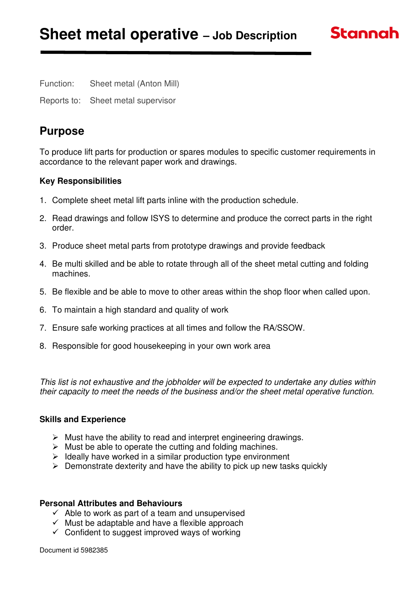Function: Sheet metal (Anton Mill)

Reports to: Sheet metal supervisor

# **Purpose**

To produce lift parts for production or spares modules to specific customer requirements in accordance to the relevant paper work and drawings.

**Stannah** 

## **Key Responsibilities**

- 1. Complete sheet metal lift parts inline with the production schedule.
- 2. Read drawings and follow ISYS to determine and produce the correct parts in the right order.
- 3. Produce sheet metal parts from prototype drawings and provide feedback
- 4. Be multi skilled and be able to rotate through all of the sheet metal cutting and folding machines.
- 5. Be flexible and be able to move to other areas within the shop floor when called upon.
- 6. To maintain a high standard and quality of work
- 7. Ensure safe working practices at all times and follow the RA/SSOW.
- 8. Responsible for good housekeeping in your own work area

This list is not exhaustive and the jobholder will be expected to undertake any duties within their capacity to meet the needs of the business and/or the sheet metal operative function.

#### **Skills and Experience**

- $\triangleright$  Must have the ability to read and interpret engineering drawings.
- $\triangleright$  Must be able to operate the cutting and folding machines.
- $\triangleright$  Ideally have worked in a similar production type environment
- $\triangleright$  Demonstrate dexterity and have the ability to pick up new tasks quickly

#### **Personal Attributes and Behaviours**

- $\checkmark$  Able to work as part of a team and unsupervised
- $\checkmark$  Must be adaptable and have a flexible approach
- $\checkmark$  Confident to suggest improved ways of working